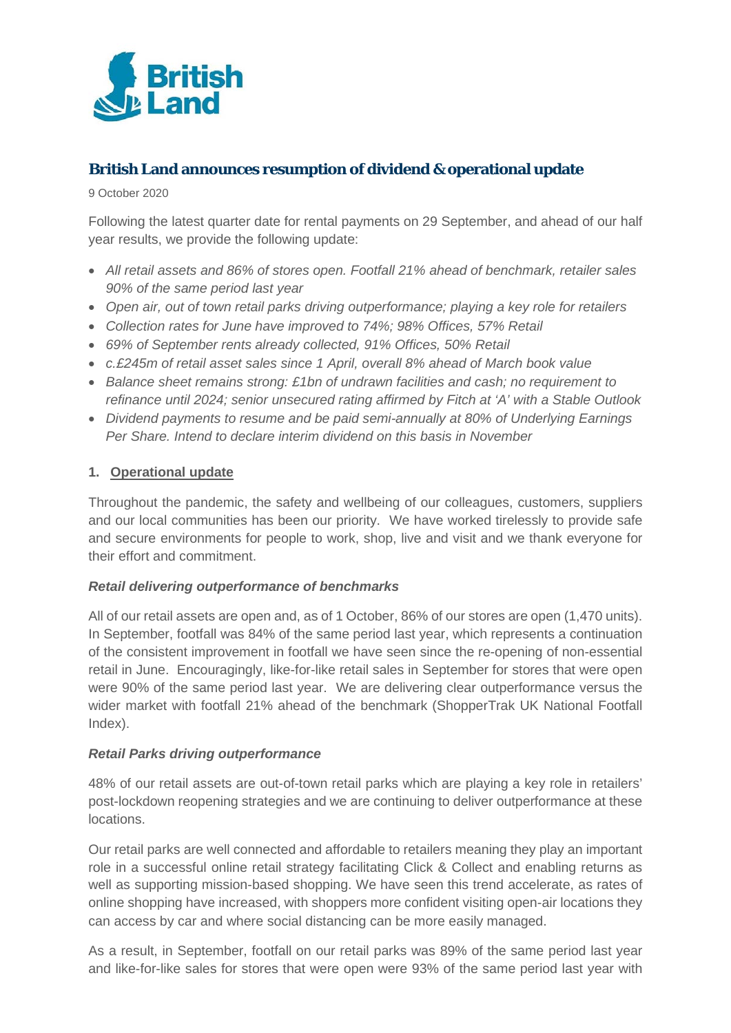

# **British Land announces resumption of dividend & operational update**

9 October 2020

Following the latest quarter date for rental payments on 29 September, and ahead of our half year results, we provide the following update:

- *All retail assets and 86% of stores open. Footfall 21% ahead of benchmark, retailer sales 90% of the same period last year*
- *Open air, out of town retail parks driving outperformance; playing a key role for retailers*
- *Collection rates for June have improved to 74%; 98% Offices, 57% Retail*
- *69% of September rents already collected, 91% Offices, 50% Retail*
- *c.£245m of retail asset sales since 1 April, overall 8% ahead of March book value*
- *Balance sheet remains strong: £1bn of undrawn facilities and cash; no requirement to refinance until 2024; senior unsecured rating affirmed by Fitch at 'A' with a Stable Outlook*
- *Dividend payments to resume and be paid semi-annually at 80% of Underlying Earnings Per Share. Intend to declare interim dividend on this basis in November*

#### **1. Operational update**

Throughout the pandemic, the safety and wellbeing of our colleagues, customers, suppliers and our local communities has been our priority. We have worked tirelessly to provide safe and secure environments for people to work, shop, live and visit and we thank everyone for their effort and commitment.

#### *Retail delivering outperformance of benchmarks*

All of our retail assets are open and, as of 1 October, 86% of our stores are open (1,470 units). In September, footfall was 84% of the same period last year, which represents a continuation of the consistent improvement in footfall we have seen since the re-opening of non-essential retail in June. Encouragingly, like-for-like retail sales in September for stores that were open were 90% of the same period last year. We are delivering clear outperformance versus the wider market with footfall 21% ahead of the benchmark (ShopperTrak UK National Footfall Index).

#### *Retail Parks driving outperformance*

48% of our retail assets are out-of-town retail parks which are playing a key role in retailers' post-lockdown reopening strategies and we are continuing to deliver outperformance at these locations.

Our retail parks are well connected and affordable to retailers meaning they play an important role in a successful online retail strategy facilitating Click & Collect and enabling returns as well as supporting mission-based shopping. We have seen this trend accelerate, as rates of online shopping have increased, with shoppers more confident visiting open-air locations they can access by car and where social distancing can be more easily managed.

As a result, in September, footfall on our retail parks was 89% of the same period last year and like-for-like sales for stores that were open were 93% of the same period last year with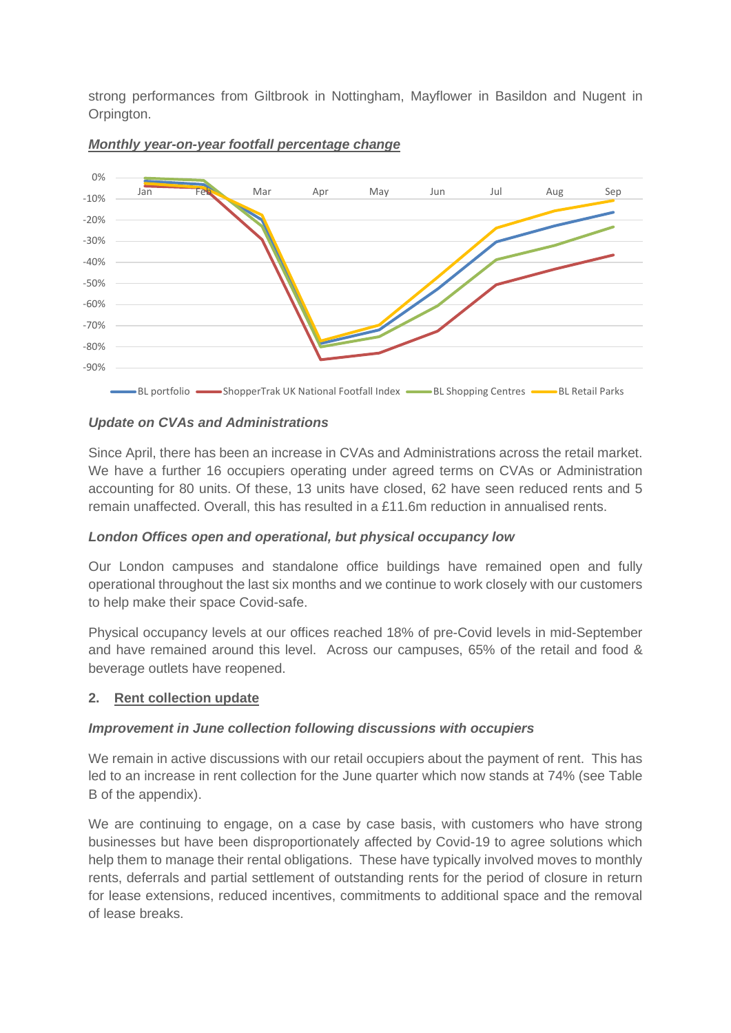strong performances from Giltbrook in Nottingham, Mayflower in Basildon and Nugent in Orpington.



#### *Monthly year-on-year footfall percentage change*

#### *Update on CVAs and Administrations*

Since April, there has been an increase in CVAs and Administrations across the retail market. We have a further 16 occupiers operating under agreed terms on CVAs or Administration accounting for 80 units. Of these, 13 units have closed, 62 have seen reduced rents and 5 remain unaffected. Overall, this has resulted in a £11.6m reduction in annualised rents.

## *London Offices open and operational, but physical occupancy low*

Our London campuses and standalone office buildings have remained open and fully operational throughout the last six months and we continue to work closely with our customers to help make their space Covid-safe.

Physical occupancy levels at our offices reached 18% of pre-Covid levels in mid-September and have remained around this level. Across our campuses, 65% of the retail and food & beverage outlets have reopened.

## **2. Rent collection update**

#### *Improvement in June collection following discussions with occupiers*

We remain in active discussions with our retail occupiers about the payment of rent. This has led to an increase in rent collection for the June quarter which now stands at 74% (see Table B of the appendix).

We are continuing to engage, on a case by case basis, with customers who have strong businesses but have been disproportionately affected by Covid-19 to agree solutions which help them to manage their rental obligations. These have typically involved moves to monthly rents, deferrals and partial settlement of outstanding rents for the period of closure in return for lease extensions, reduced incentives, commitments to additional space and the removal of lease breaks.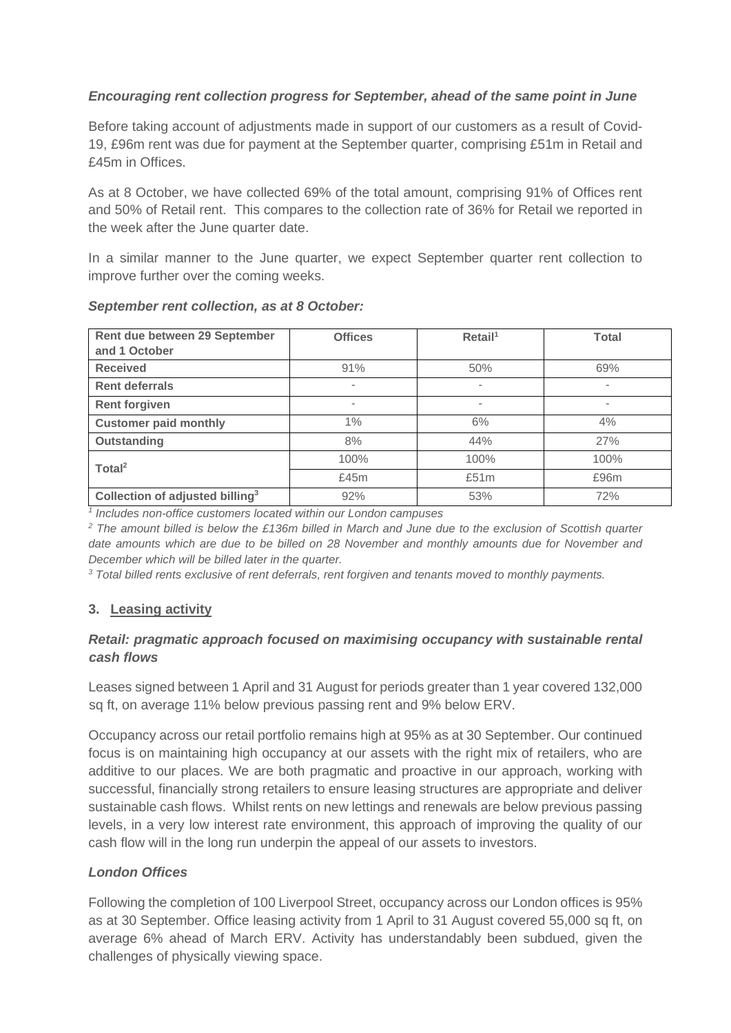### *Encouraging rent collection progress for September, ahead of the same point in June*

Before taking account of adjustments made in support of our customers as a result of Covid-19, £96m rent was due for payment at the September quarter, comprising £51m in Retail and £45m in Offices.

As at 8 October, we have collected 69% of the total amount, comprising 91% of Offices rent and 50% of Retail rent. This compares to the collection rate of 36% for Retail we reported in the week after the June quarter date.

In a similar manner to the June quarter, we expect September quarter rent collection to improve further over the coming weeks.

| Rent due between 29 September<br>and 1 October | <b>Offices</b>           | Reta I <sup>1</sup>      | <b>Total</b>                 |
|------------------------------------------------|--------------------------|--------------------------|------------------------------|
| <b>Received</b>                                | 91%                      | 50%                      | 69%                          |
| <b>Rent deferrals</b>                          | $\overline{\phantom{a}}$ | $\overline{a}$           | $\qquad \qquad \blacksquare$ |
| <b>Rent forgiven</b>                           | $\overline{\phantom{a}}$ | $\overline{\phantom{a}}$ | $\qquad \qquad \blacksquare$ |
| <b>Customer paid monthly</b>                   | $1\%$                    | 6%                       | 4%                           |
| Outstanding                                    | 8%                       | 44%                      | 27%                          |
| Total <sup>2</sup>                             | 100%                     | 100%                     | 100%                         |
|                                                | £45m                     | £51m                     | £96m                         |
| Collection of adjusted billing <sup>3</sup>    | 92%                      | 53%                      | 72%                          |

#### *September rent collection, as at 8 October:*

*<sup>1</sup> Includes non-office customers located within our London campuses*

*<sup>2</sup> The amount billed is below the £136m billed in March and June due to the exclusion of Scottish quarter date amounts which are due to be billed on 28 November and monthly amounts due for November and December which will be billed later in the quarter.*

*<sup>3</sup> Total billed rents exclusive of rent deferrals, rent forgiven and tenants moved to monthly payments.*

## **3. Leasing activity**

## *Retail: pragmatic approach focused on maximising occupancy with sustainable rental cash flows*

Leases signed between 1 April and 31 August for periods greater than 1 year covered 132,000 sq ft, on average 11% below previous passing rent and 9% below ERV.

Occupancy across our retail portfolio remains high at 95% as at 30 September. Our continued focus is on maintaining high occupancy at our assets with the right mix of retailers, who are additive to our places. We are both pragmatic and proactive in our approach, working with successful, financially strong retailers to ensure leasing structures are appropriate and deliver sustainable cash flows. Whilst rents on new lettings and renewals are below previous passing levels, in a very low interest rate environment, this approach of improving the quality of our cash flow will in the long run underpin the appeal of our assets to investors.

#### *London Offices*

Following the completion of 100 Liverpool Street, occupancy across our London offices is 95% as at 30 September. Office leasing activity from 1 April to 31 August covered 55,000 sq ft, on average 6% ahead of March ERV. Activity has understandably been subdued, given the challenges of physically viewing space.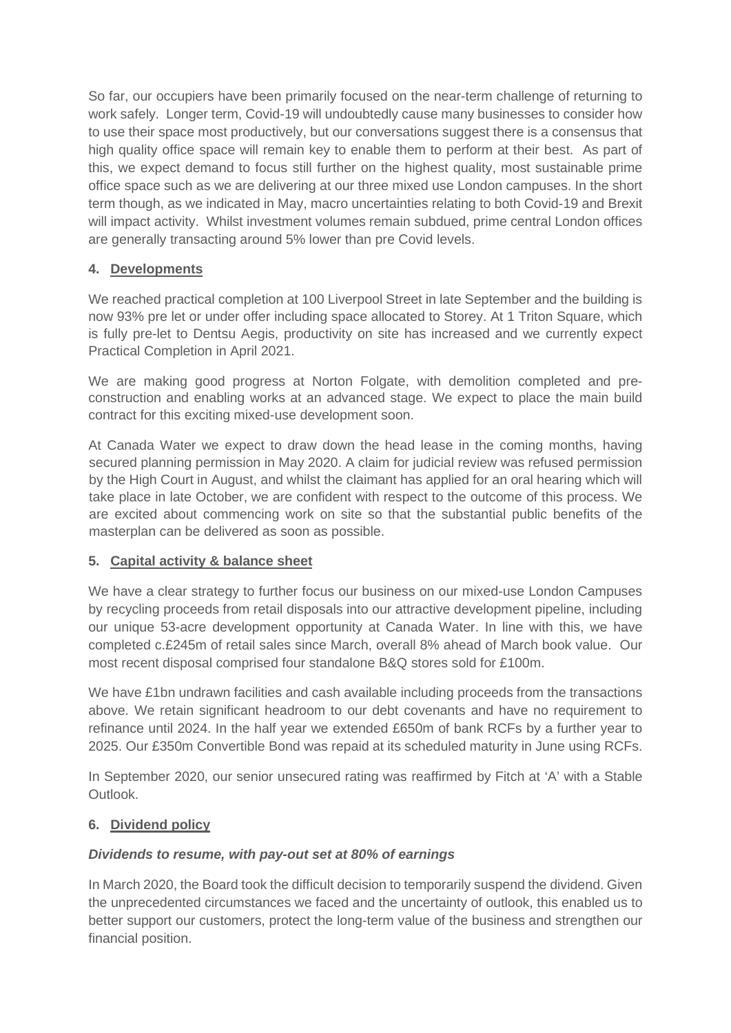So far, our occupiers have been primarily focused on the near-term challenge of returning to work safely. Longer term, Covid-19 will undoubtedly cause many businesses to consider how to use their space most productively, but our conversations suggest there is a consensus that high quality office space will remain key to enable them to perform at their best. As part of this, we expect demand to focus still further on the highest quality, most sustainable prime office space such as we are delivering at our three mixed use London campuses. In the short term though, as we indicated in May, macro uncertainties relating to both Covid-19 and Brexit will impact activity. Whilst investment volumes remain subdued, prime central London offices are generally transacting around 5% lower than pre Covid levels.

# **4. Developments**

We reached practical completion at 100 Liverpool Street in late September and the building is now 93% pre let or under offer including space allocated to Storey. At 1 Triton Square, which is fully pre-let to Dentsu Aegis, productivity on site has increased and we currently expect Practical Completion in April 2021.

We are making good progress at Norton Folgate, with demolition completed and preconstruction and enabling works at an advanced stage. We expect to place the main build contract for this exciting mixed-use development soon.

At Canada Water we expect to draw down the head lease in the coming months, having secured planning permission in May 2020. A claim for judicial review was refused permission by the High Court in August, and whilst the claimant has applied for an oral hearing which will take place in late October, we are confident with respect to the outcome of this process. We are excited about commencing work on site so that the substantial public benefits of the masterplan can be delivered as soon as possible.

## **5. Capital activity & balance sheet**

We have a clear strategy to further focus our business on our mixed-use London Campuses by recycling proceeds from retail disposals into our attractive development pipeline, including our unique 53-acre development opportunity at Canada Water. In line with this, we have completed c.£245m of retail sales since March, overall 8% ahead of March book value. Our most recent disposal comprised four standalone B&Q stores sold for £100m.

We have £1bn undrawn facilities and cash available including proceeds from the transactions above. We retain significant headroom to our debt covenants and have no requirement to refinance until 2024. In the half year we extended £650m of bank RCFs by a further year to 2025. Our £350m Convertible Bond was repaid at its scheduled maturity in June using RCFs.

In September 2020, our senior unsecured rating was reaffirmed by Fitch at 'A' with a Stable Outlook.

## **6. Dividend policy**

## *Dividends to resume, with pay-out set at 80% of earnings*

In March 2020, the Board took the difficult decision to temporarily suspend the dividend. Given the unprecedented circumstances we faced and the uncertainty of outlook, this enabled us to better support our customers, protect the long-term value of the business and strengthen our financial position.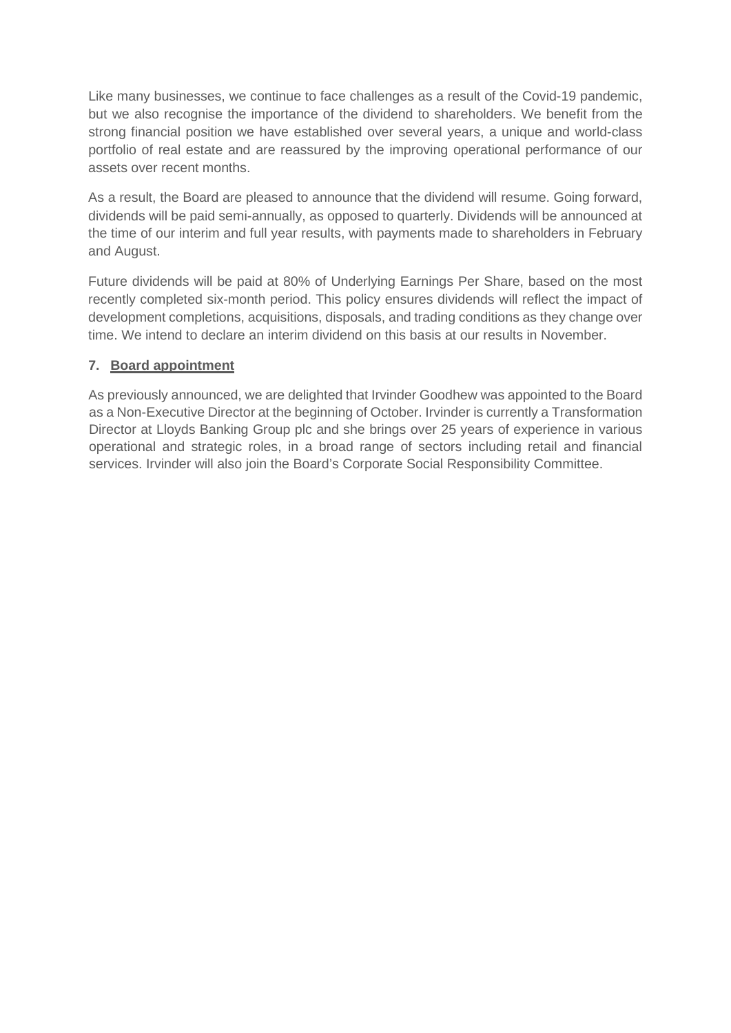Like many businesses, we continue to face challenges as a result of the Covid-19 pandemic, but we also recognise the importance of the dividend to shareholders. We benefit from the strong financial position we have established over several years, a unique and world-class portfolio of real estate and are reassured by the improving operational performance of our assets over recent months.

As a result, the Board are pleased to announce that the dividend will resume. Going forward, dividends will be paid semi-annually, as opposed to quarterly. Dividends will be announced at the time of our interim and full year results, with payments made to shareholders in February and August.

Future dividends will be paid at 80% of Underlying Earnings Per Share, based on the most recently completed six-month period. This policy ensures dividends will reflect the impact of development completions, acquisitions, disposals, and trading conditions as they change over time. We intend to declare an interim dividend on this basis at our results in November.

## **7. Board appointment**

As previously announced, we are delighted that Irvinder Goodhew was appointed to the Board as a Non-Executive Director at the beginning of October. Irvinder is currently a Transformation Director at Lloyds Banking Group plc and she brings over 25 years of experience in various operational and strategic roles, in a broad range of sectors including retail and financial services. Irvinder will also join the Board's Corporate Social Responsibility Committee.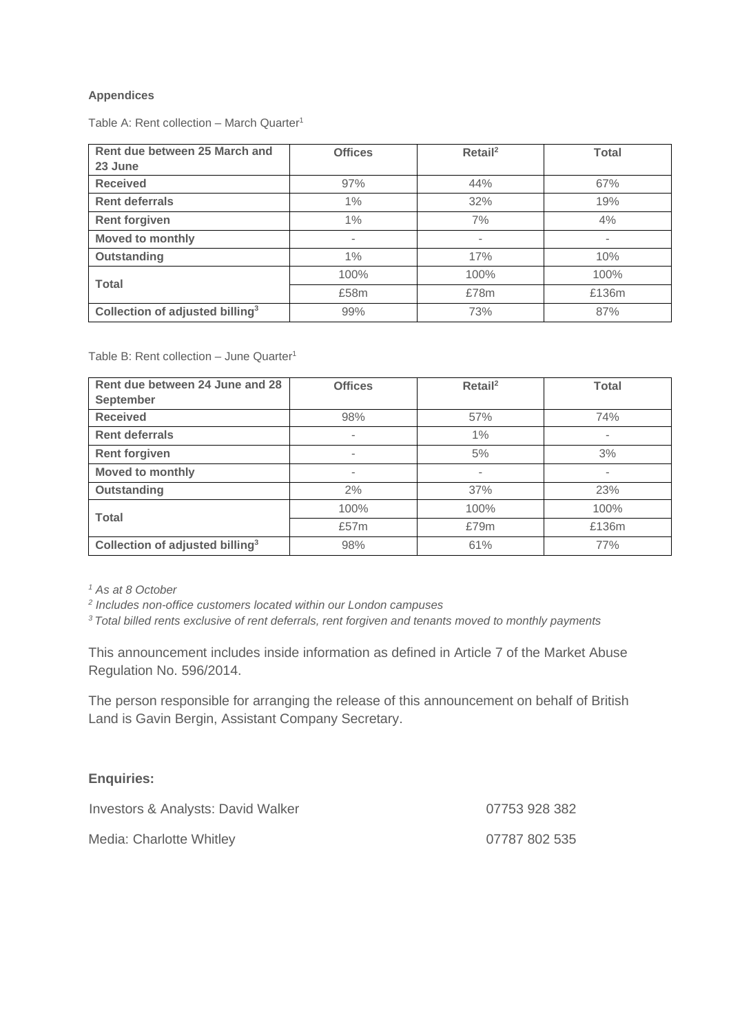#### **Appendices**

Table A: Rent collection – March Quarter<sup>1</sup>

| Rent due between 25 March and               | <b>Offices</b> | Retail <sup>2</sup> | <b>Total</b>   |
|---------------------------------------------|----------------|---------------------|----------------|
| 23 June                                     |                |                     |                |
| <b>Received</b>                             | 97%            | 44%                 | 67%            |
| <b>Rent deferrals</b>                       | 1%             | 32%                 | 19%            |
| <b>Rent forgiven</b>                        | $1\%$          | 7%                  | 4%             |
| Moved to monthly                            | -              | ٠                   | $\overline{a}$ |
| Outstanding                                 | 1%             | 17%                 | 10%            |
| <b>Total</b>                                | 100%           | 100%                | 100%           |
|                                             | £58m           | £78m                | £136m          |
| Collection of adjusted billing <sup>3</sup> | 99%            | 73%                 | 87%            |

Table B: Rent collection – June Quarter<sup>1</sup>

| Rent due between 24 June and 28             | <b>Offices</b> | $Retai^2$                | <b>Total</b>             |
|---------------------------------------------|----------------|--------------------------|--------------------------|
| <b>September</b>                            |                |                          |                          |
| <b>Received</b>                             | 98%            | 57%                      | 74%                      |
| <b>Rent deferrals</b>                       | -              | $1\%$                    | $\overline{\phantom{a}}$ |
| <b>Rent forgiven</b>                        | -              | 5%                       | 3%                       |
| Moved to monthly                            | ۰              | $\overline{\phantom{a}}$ | $\overline{\phantom{a}}$ |
| <b>Outstanding</b>                          | 2%             | 37%                      | 23%                      |
| <b>Total</b>                                | 100%           | 100%                     | 100%                     |
|                                             | £57m           | £79m                     | £136m                    |
| Collection of adjusted billing <sup>3</sup> | 98%            | 61%                      | 77%                      |

*<sup>1</sup> As at 8 October*

<sup>3</sup> Total billed rents exclusive of rent deferrals, rent forgiven and tenants moved to monthly payments

This announcement includes inside information as defined in Article 7 of the Market Abuse Regulation No. 596/2014.

The person responsible for arranging the release of this announcement on behalf of British Land is Gavin Bergin, Assistant Company Secretary.

#### **Enquiries:**

| Investors & Analysts: David Walker | 07753 928 382 |
|------------------------------------|---------------|
| Media: Charlotte Whitley           | 07787 802 535 |